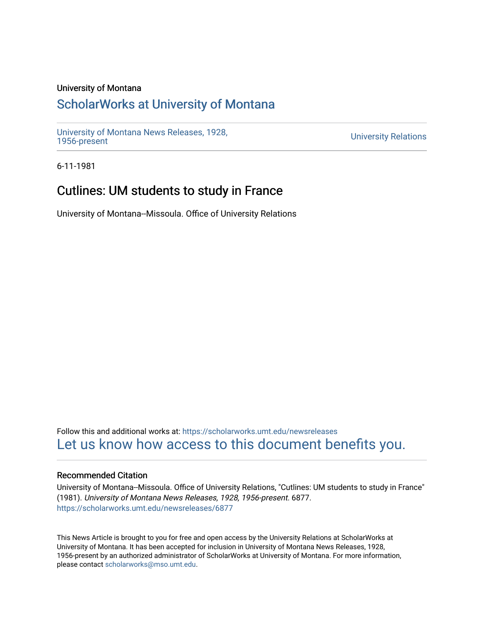### University of Montana

# [ScholarWorks at University of Montana](https://scholarworks.umt.edu/)

[University of Montana News Releases, 1928,](https://scholarworks.umt.edu/newsreleases) 

**University Relations** 

6-11-1981

# Cutlines: UM students to study in France

University of Montana--Missoula. Office of University Relations

Follow this and additional works at: [https://scholarworks.umt.edu/newsreleases](https://scholarworks.umt.edu/newsreleases?utm_source=scholarworks.umt.edu%2Fnewsreleases%2F6877&utm_medium=PDF&utm_campaign=PDFCoverPages) [Let us know how access to this document benefits you.](https://goo.gl/forms/s2rGfXOLzz71qgsB2) 

#### Recommended Citation

University of Montana--Missoula. Office of University Relations, "Cutlines: UM students to study in France" (1981). University of Montana News Releases, 1928, 1956-present. 6877. [https://scholarworks.umt.edu/newsreleases/6877](https://scholarworks.umt.edu/newsreleases/6877?utm_source=scholarworks.umt.edu%2Fnewsreleases%2F6877&utm_medium=PDF&utm_campaign=PDFCoverPages) 

This News Article is brought to you for free and open access by the University Relations at ScholarWorks at University of Montana. It has been accepted for inclusion in University of Montana News Releases, 1928, 1956-present by an authorized administrator of ScholarWorks at University of Montana. For more information, please contact [scholarworks@mso.umt.edu.](mailto:scholarworks@mso.umt.edu)